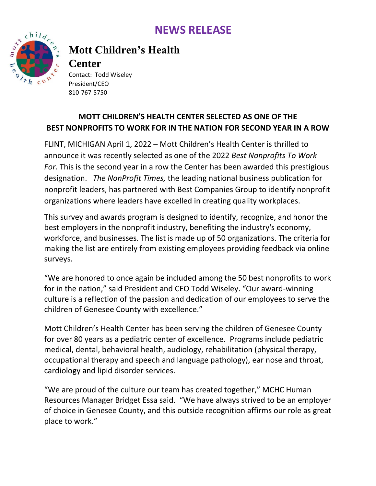## **NEWS RELEASE**



## **Mott Children's Health**

### **Center**

Contact: Todd Wiseley President/CEO 810-767-5750

### **MOTT CHILDREN'S HEALTH CENTER SELECTED AS ONE OF THE BEST NONPROFITS TO WORK FOR IN THE NATION FOR SECOND YEAR IN A ROW**

FLINT, MICHIGAN April 1, 2022 – Mott Children's Health Center is thrilled to announce it was recently selected as one of the 2022 *Best Nonprofits To Work For.* This is the second year in a row the Center has been awarded this prestigious designation. *The NonProfit Times,* the leading national business publication for nonprofit leaders, has partnered with Best Companies Group to identify nonprofit organizations where leaders have excelled in creating quality workplaces.

This survey and awards program is designed to identify, recognize, and honor the best employers in the nonprofit industry, benefiting the industry's economy, workforce, and businesses. The list is made up of 50 organizations. The criteria for making the list are entirely from existing employees providing feedback via online surveys.

"We are honored to once again be included among the 50 best nonprofits to work for in the nation," said President and CEO Todd Wiseley. "Our award-winning culture is a reflection of the passion and dedication of our employees to serve the children of Genesee County with excellence."

Mott Children's Health Center has been serving the children of Genesee County for over 80 years as a pediatric center of excellence. Programs include pediatric medical, dental, behavioral health, audiology, rehabilitation (physical therapy, occupational therapy and speech and language pathology), ear nose and throat, cardiology and lipid disorder services.

"We are proud of the culture our team has created together," MCHC Human Resources Manager Bridget Essa said. "We have always strived to be an employer of choice in Genesee County, and this outside recognition affirms our role as great place to work."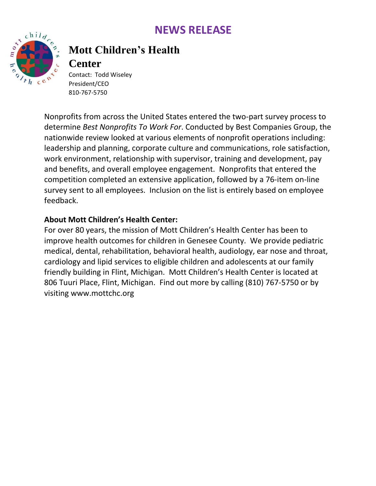## **NEWS RELEASE**



# **Mott Children's Health**

### **Center**

Contact: Todd Wiseley President/CEO 810-767-5750

Nonprofits from across the United States entered the two-part survey process to determine *Best Nonprofits To Work For*. Conducted by Best Companies Group, the nationwide review looked at various elements of nonprofit operations including: leadership and planning, corporate culture and communications, role satisfaction, work environment, relationship with supervisor, training and development, pay and benefits, and overall employee engagement. Nonprofits that entered the competition completed an extensive application, followed by a 76-item on-line survey sent to all employees. Inclusion on the list is entirely based on employee feedback.

#### **About Mott Children's Health Center:**

For over 80 years, the mission of Mott Children's Health Center has been to improve health outcomes for children in Genesee County. We provide pediatric medical, dental, rehabilitation, behavioral health, audiology, ear nose and throat, cardiology and lipid services to eligible children and adolescents at our family friendly building in Flint, Michigan. Mott Children's Health Center is located at 806 Tuuri Place, Flint, Michigan. Find out more by calling (810) 767-5750 or by visiting [www.mottchc.org](http://www.mottchc.org/)